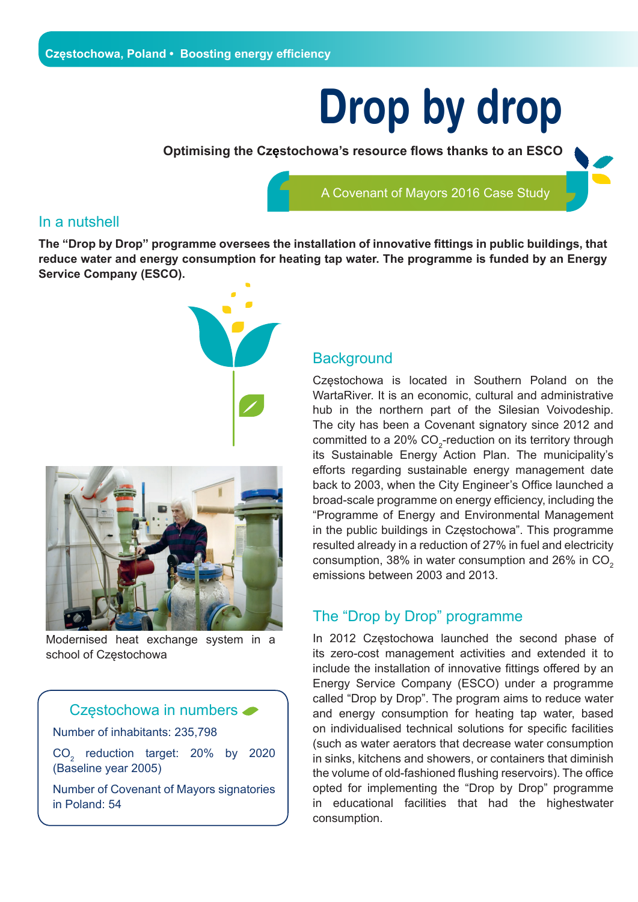# **Drop by drop**

**Optimising the Częstochowa's resource flows thanks to an ESCO** 

A Covenant of Mayors 2016 Case Study

#### In a nutshell

**The "Drop by Drop" programme oversees the installation of innovative fittings in public buildings, that reduce water and energy consumption for heating tap water. The programme is funded by an Energy Service Company (ESCO).**





Modernised heat exchange system in a school of Częstochowa



#### Częstochowa in numbers

in Poland: 54

#### **Background**

Częstochowa is located in Southern Poland on the WartaRiver. It is an economic, cultural and administrative hub in the northern part of the Silesian Voivodeship. The city has been a Covenant signatory since 2012 and committed to a 20%  $CO_{2}$ -reduction on its territory through its Sustainable Energy Action Plan. The municipality's efforts regarding sustainable energy management date back to 2003, when the City Engineer's Office launched a broad-scale programme on energy efficiency, including the "Programme of Energy and Environmental Management in the public buildings in Częstochowa". This programme resulted already in a reduction of 27% in fuel and electricity consumption,  $38\%$  in water consumption and  $26\%$  in CO<sub>2</sub> emissions between 2003 and 2013.

#### The "Drop by Drop" programme

In 2012 Częstochowa launched the second phase of its zero-cost management activities and extended it to include the installation of innovative fittings offered by an Energy Service Company (ESCO) under a programme called "Drop by Drop". The program aims to reduce water and energy consumption for heating tap water, based on individualised technical solutions for specific facilities (such as water aerators that decrease water consumption in sinks, kitchens and showers, or containers that diminish the volume of old-fashioned flushing reservoirs). The office opted for implementing the "Drop by Drop" programme in educational facilities that had the highestwater consumption.